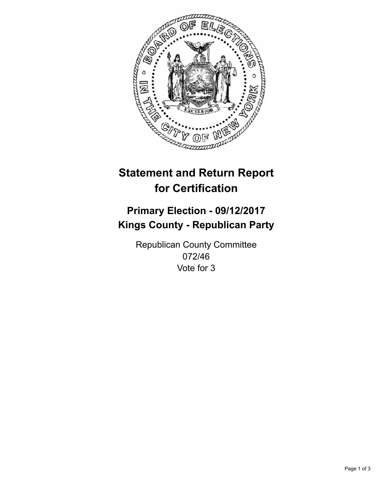

## **Statement and Return Report for Certification**

## **Primary Election - 09/12/2017 Kings County - Republican Party**

Republican County Committee 072/46 Vote for 3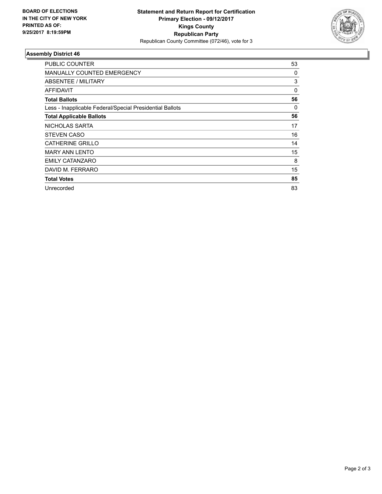

## **Assembly District 46**

| <b>PUBLIC COUNTER</b>                                    | 53 |
|----------------------------------------------------------|----|
| <b>MANUALLY COUNTED EMERGENCY</b>                        | 0  |
| ABSENTEE / MILITARY                                      | 3  |
| AFFIDAVIT                                                | 0  |
| <b>Total Ballots</b>                                     | 56 |
| Less - Inapplicable Federal/Special Presidential Ballots | 0  |
| <b>Total Applicable Ballots</b>                          | 56 |
| NICHOLAS SARTA                                           | 17 |
| <b>STEVEN CASO</b>                                       | 16 |
| CATHERINE GRILLO                                         | 14 |
| <b>MARY ANN LENTO</b>                                    | 15 |
| <b>EMILY CATANZARO</b>                                   | 8  |
| DAVID M. FERRARO                                         | 15 |
| <b>Total Votes</b>                                       | 85 |
| Unrecorded                                               | 83 |